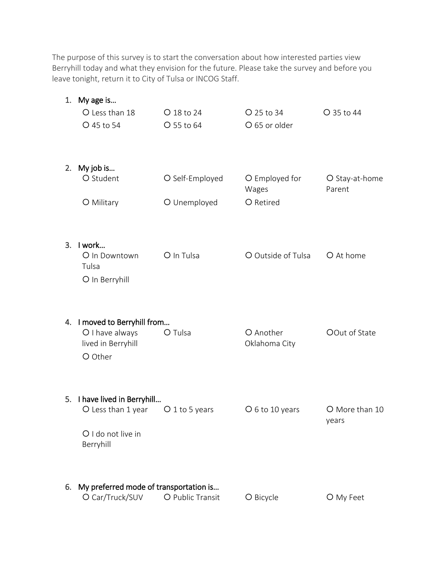The purpose of this survey is to start the conversation about how interested parties view Berryhill today and what they envision for the future. Please take the survey and before you leave tonight, return it to City of Tulsa or INCOG Staff.

|    | 1. My age is                                              |                  |                            |                          |
|----|-----------------------------------------------------------|------------------|----------------------------|--------------------------|
|    | O Less than 18                                            | O 18 to 24       | $O$ 25 to 34               | O 35 to 44               |
|    | O 45 to 54                                                | O 55 to 64       | O 65 or older              |                          |
| 2. | My job is                                                 |                  |                            |                          |
|    | O Student                                                 | O Self-Employed  | O Employed for<br>Wages    | O Stay-at-home<br>Parent |
|    | O Military                                                | O Unemployed     | O Retired                  |                          |
|    | 3. I work                                                 |                  |                            |                          |
|    | O In Downtown<br>Tulsa                                    | O In Tulsa       | O Outside of Tulsa         | O At home                |
|    | O In Berryhill                                            |                  |                            |                          |
|    | 4. I moved to Berryhill from                              |                  |                            |                          |
|    | O I have always<br>lived in Berryhill<br>O Other          | O Tulsa          | O Another<br>Oklahoma City | OOut of State            |
|    |                                                           |                  |                            |                          |
|    | 5. I have lived in Berryhill<br>O Less than 1 year        | $O1$ to 5 years  | O 6 to 10 years            | O More than 10<br>years  |
|    | O I do not live in<br>Berryhill                           |                  |                            |                          |
| 6. | My preferred mode of transportation is<br>O Car/Truck/SUV | O Public Transit | O Bicycle                  | O My Feet                |
|    |                                                           |                  |                            |                          |